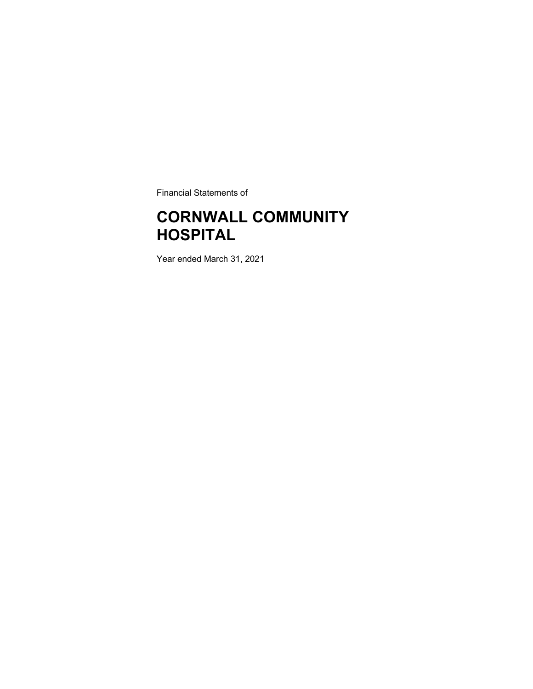Financial Statements of

### CORNWALL COMMUNITY **HOSPITAL**

Year ended March 31, 2021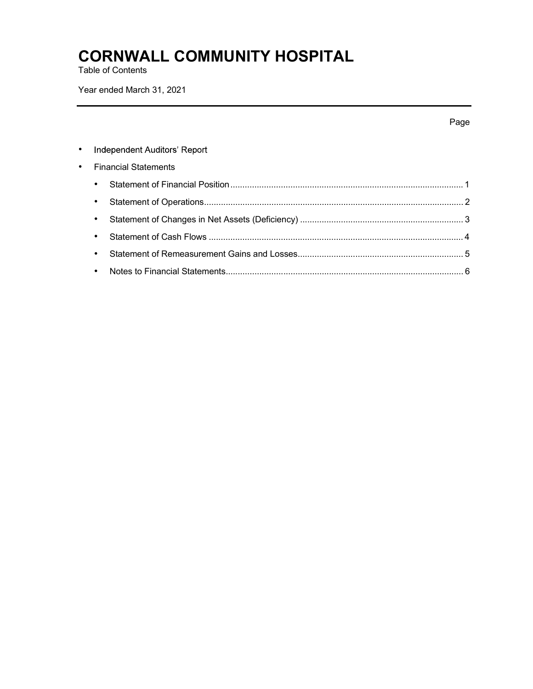Table of Contents

Year ended March 31, 2021

|           |                              | Page |
|-----------|------------------------------|------|
| ٠         | Independent Auditors' Report |      |
| $\bullet$ | <b>Financial Statements</b>  |      |
|           | $\bullet$                    |      |
|           | $\bullet$                    |      |
|           | ٠                            |      |
|           | ٠                            |      |
|           | ٠                            |      |
|           | ٠                            |      |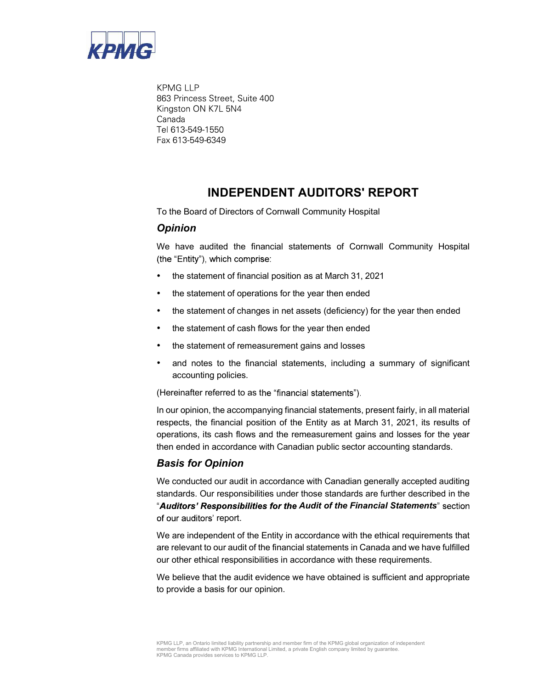

**KPMG LLP** 863 Princess Street, Suite 400 Kingston ON K7L 5N4 Canada Tel 613-549-1550 Fax 613-549-6349

### INDEPENDENT AUDITORS' REPORT

To the Board of Directors of Cornwall Community Hospital

### **Opinion**

We have audited the financial statements of Cornwall Community Hospital (the "Entity"), which comprise:

- the statement of financial position as at March 31, 2021
- the statement of operations for the year then ended
- the statement of changes in net assets (deficiency) for the year then ended
- the statement of cash flows for the year then ended
- the statement of remeasurement gains and losses
- and notes to the financial statements, including a summary of significant accounting policies.

(Hereinafter referred to as the "financial statements").

In our opinion, the accompanying financial statements, present fairly, in all material respects, the financial position of the Entity as at March 31, 2021, its results of operations, its cash flows and the remeasurement gains and losses for the year then ended in accordance with Canadian public sector accounting standards.

### Basis for Opinion

We conducted our audit in accordance with Canadian generally accepted auditing standards. Our responsibilities under those standards are further described in the "Auditors' Responsibilities for the Audit of the Financial Statements" section of our auditors' report.

We are independent of the Entity in accordance with the ethical requirements that are relevant to our audit of the financial statements in Canada and we have fulfilled our other ethical responsibilities in accordance with these requirements.

We believe that the audit evidence we have obtained is sufficient and appropriate to provide a basis for our opinion.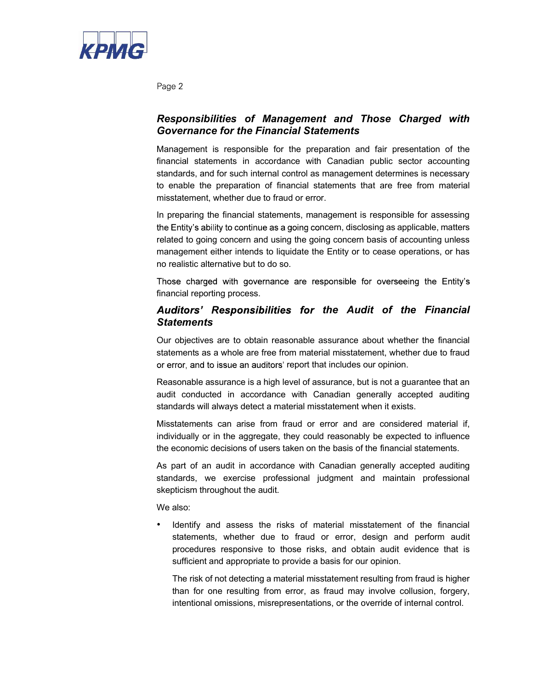

Page 2

### Responsibilities of Management and Those Charged with Governance for the Financial Statements

Management is responsible for the preparation and fair presentation of the financial statements in accordance with Canadian public sector accounting standards, and for such internal control as management determines is necessary to enable the preparation of financial statements that are free from material misstatement, whether due to fraud or error.

In preparing the financial statements, management is responsible for assessing the Entity's ability to continue as a going concern, disclosing as applicable, matters related to going concern and using the going concern basis of accounting unless management either intends to liquidate the Entity or to cease operations, or has no realistic alternative but to do so.

Those charged with governance are responsible for overseeing the Entity's financial reporting process.

### Auditors' Responsibilities for the Audit of the Financial **Statements**

Our objectives are to obtain reasonable assurance about whether the financial statements as a whole are free from material misstatement, whether due to fraud or error, and to issue an auditors' report that includes our opinion.

Reasonable assurance is a high level of assurance, but is not a guarantee that an audit conducted in accordance with Canadian generally accepted auditing standards will always detect a material misstatement when it exists.

Misstatements can arise from fraud or error and are considered material if, individually or in the aggregate, they could reasonably be expected to influence the economic decisions of users taken on the basis of the financial statements.

As part of an audit in accordance with Canadian generally accepted auditing standards, we exercise professional judgment and maintain professional skepticism throughout the audit.

We also:

Identify and assess the risks of material misstatement of the financial statements, whether due to fraud or error, design and perform audit procedures responsive to those risks, and obtain audit evidence that is sufficient and appropriate to provide a basis for our opinion.

The risk of not detecting a material misstatement resulting from fraud is higher than for one resulting from error, as fraud may involve collusion, forgery, intentional omissions, misrepresentations, or the override of internal control.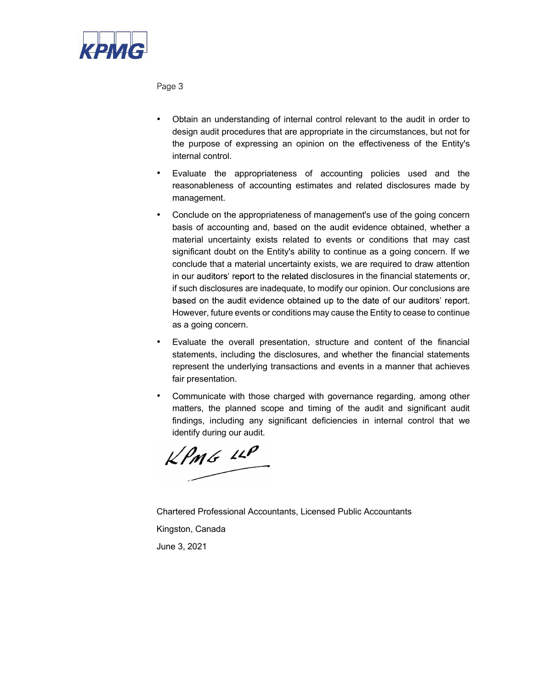

Page 3

- Obtain an understanding of internal control relevant to the audit in order to design audit procedures that are appropriate in the circumstances, but not for the purpose of expressing an opinion on the effectiveness of the Entity's internal control.
- Evaluate the appropriateness of accounting policies used and the reasonableness of accounting estimates and related disclosures made by management.
- Conclude on the appropriateness of management's use of the going concern basis of accounting and, based on the audit evidence obtained, whether a material uncertainty exists related to events or conditions that may cast significant doubt on the Entity's ability to continue as a going concern. If we conclude that a material uncertainty exists, we are required to draw attention in our auditors' report to the related disclosures in the financial statements or, if such disclosures are inadequate, to modify our opinion. Our conclusions are based on the audit evidence obtained up to the date of our auditors' report. However, future events or conditions may cause the Entity to cease to continue as a going concern.
- Evaluate the overall presentation, structure and content of the financial statements, including the disclosures, and whether the financial statements represent the underlying transactions and events in a manner that achieves fair presentation.
- Communicate with those charged with governance regarding, among other matters, the planned scope and timing of the audit and significant audit findings, including any significant deficiencies in internal control that we identify during our audit.

 $kPMS$  11P

Chartered Professional Accountants, Licensed Public Accountants Kingston, Canada June 3, 2021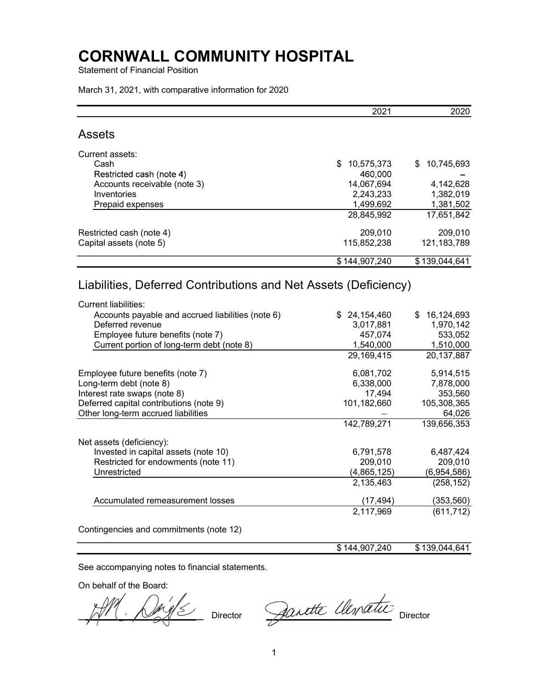Statement of Financial Position

March 31, 2021, with comparative information for 2020

|                                                                                                | 2021              | 2020             |
|------------------------------------------------------------------------------------------------|-------------------|------------------|
| <b>Assets</b>                                                                                  |                   |                  |
| Current assets:                                                                                |                   |                  |
| Cash                                                                                           | 10,575,373<br>\$  | \$<br>10,745,693 |
| Restricted cash (note 4)                                                                       | 460,000           |                  |
| Accounts receivable (note 3)                                                                   | 14,067,694        | 4,142,628        |
| Inventories                                                                                    | 2,243,233         | 1,382,019        |
| Prepaid expenses                                                                               | 1,499,692         | 1,381,502        |
|                                                                                                | 28,845,992        | 17,651,842       |
| Restricted cash (note 4)                                                                       | 209,010           | 209,010          |
| Capital assets (note 5)                                                                        | 115,852,238       | 121, 183, 789    |
|                                                                                                | \$144,907,240     | \$139,044,641    |
| Liabilities, Deferred Contributions and Net Assets (Deficiency)<br><b>Current liabilities:</b> |                   |                  |
| Accounts payable and accrued liabilities (note 6)                                              | 24,154,460<br>\$. | 16,124,693       |
| Deferred revenue                                                                               | 3,017,881         | 1,970,142        |
| Employee future benefits (note 7)                                                              | 457,074           | 533,052          |
| Current portion of long-term debt (note 8)                                                     | 1,540,000         | 1,510,000        |
|                                                                                                | 29,169,415        | 20,137,887       |
| Employee future benefits (note 7)                                                              | 6,081,702         | 5,914,515        |
| Long-term debt (note 8)                                                                        | 6,338,000         | 7,878,000        |
| Interest rate swaps (note 8)                                                                   | 17,494            | 353,560          |
| Deferred capital contributions (note 9)                                                        | 101,182,660       | 105,308,365      |
| Other long-term accrued liabilities                                                            |                   | 64,026           |
|                                                                                                | 142,789,271       | 139,656,353      |
| Net assets (deficiency):                                                                       |                   |                  |
| Invested in capital assets (note 10)                                                           | 6,791,578         | 6,487,424        |
| Restricted for endowments (note 11)                                                            | 209,010           | 209,010          |
| Unrestricted                                                                                   | (4,865,125)       | (6,954,586)      |
|                                                                                                | 2,135,463         | (258, 152)       |
| Accumulated remeasurement losses                                                               | (17, 494)         | (353, 560)       |
|                                                                                                | 2,117,969         | (611, 712)       |
| Contingencies and commitments (note 12)                                                        |                   |                  |
|                                                                                                | \$144,907,240     | \$139,044,641    |

See accompanying notes to financial statements.

On behalf of the Board:

Director Dernette Clementic Director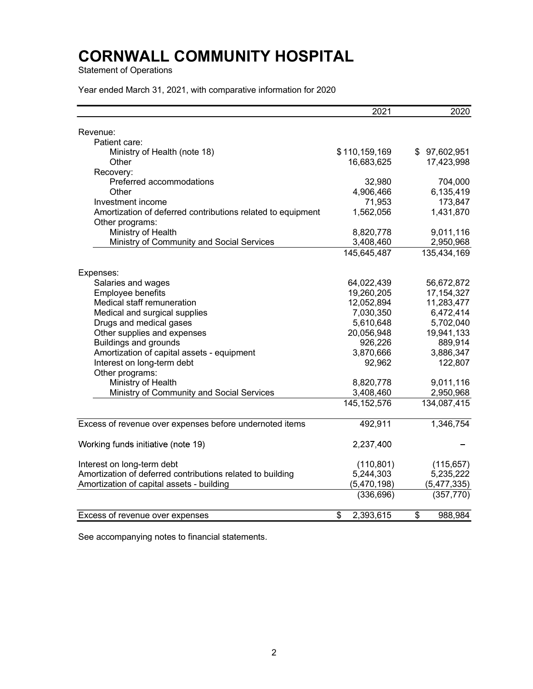Statement of Operations

Year ended March 31, 2021, with comparative information for 2020

|                                                             | 2021            | 2020          |
|-------------------------------------------------------------|-----------------|---------------|
|                                                             |                 |               |
| Revenue:<br>Patient care:                                   |                 |               |
| Ministry of Health (note 18)                                | \$110,159,169   | \$97,602,951  |
| Other                                                       | 16,683,625      | 17,423,998    |
| Recovery:                                                   |                 |               |
| Preferred accommodations                                    | 32,980          | 704,000       |
| Other                                                       | 4,906,466       | 6,135,419     |
| Investment income                                           | 71,953          | 173,847       |
| Amortization of deferred contributions related to equipment | 1,562,056       | 1,431,870     |
| Other programs:                                             |                 |               |
| Ministry of Health                                          | 8,820,778       | 9,011,116     |
| Ministry of Community and Social Services                   | 3,408,460       | 2,950,968     |
|                                                             | 145,645,487     | 135,434,169   |
|                                                             |                 |               |
| Expenses:                                                   |                 |               |
| Salaries and wages                                          | 64,022,439      | 56,672,872    |
| Employee benefits                                           | 19,260,205      | 17, 154, 327  |
| Medical staff remuneration                                  | 12,052,894      | 11,283,477    |
| Medical and surgical supplies                               | 7,030,350       | 6,472,414     |
| Drugs and medical gases                                     | 5,610,648       | 5,702,040     |
| Other supplies and expenses                                 | 20,056,948      | 19,941,133    |
| <b>Buildings and grounds</b>                                | 926,226         | 889,914       |
| Amortization of capital assets - equipment                  | 3,870,666       | 3,886,347     |
| Interest on long-term debt                                  | 92,962          | 122,807       |
| Other programs:                                             |                 |               |
| Ministry of Health                                          | 8,820,778       | 9,011,116     |
| Ministry of Community and Social Services                   | 3,408,460       | 2,950,968     |
|                                                             | 145, 152, 576   | 134,087,415   |
|                                                             |                 |               |
| Excess of revenue over expenses before undernoted items     | 492,911         | 1,346,754     |
| Working funds initiative (note 19)                          | 2,237,400       |               |
|                                                             |                 |               |
| Interest on long-term debt                                  | (110, 801)      | (115, 657)    |
| Amortization of deferred contributions related to building  | 5,244,303       | 5,235,222     |
| Amortization of capital assets - building                   | (5,470,198)     | (5,477,335)   |
|                                                             | (336, 696)      | (357, 770)    |
|                                                             |                 |               |
| Excess of revenue over expenses                             | 2,393,615<br>\$ | 988,984<br>\$ |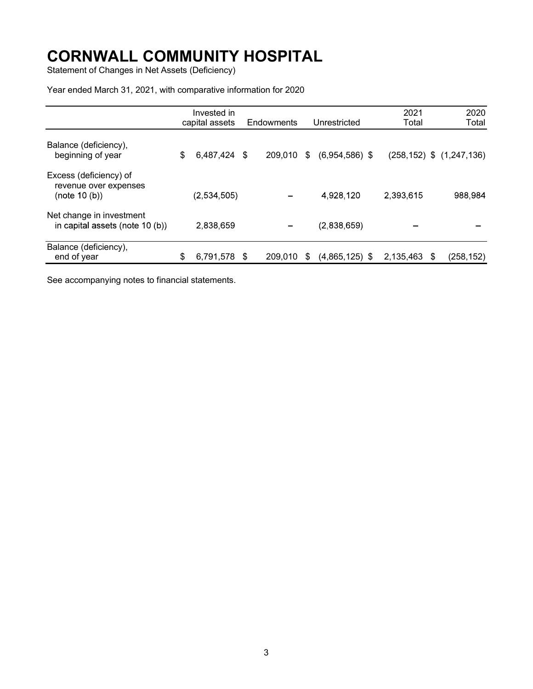Statement of Changes in Net Assets (Deficiency)

Year ended March 31, 2021, with comparative information for 2020

|                                                                  | Invested in<br>capital assets |      | Endowments |    | Unrestricted     | 2021<br>Total |   | 2020<br>Total                   |
|------------------------------------------------------------------|-------------------------------|------|------------|----|------------------|---------------|---|---------------------------------|
| Balance (deficiency),<br>beginning of year                       | \$<br>6,487,424 \$            |      | 209,010    | \$ | $(6,954,586)$ \$ |               |   | $(258, 152)$ \$ $(1, 247, 136)$ |
| Excess (deficiency) of<br>revenue over expenses<br>(note 10 (b)) | (2,534,505)                   |      |            |    | 4,928,120        | 2,393,615     |   | 988,984                         |
| Net change in investment<br>in capital assets (note 10 (b))      | 2,838,659                     |      |            |    | (2,838,659)      |               |   |                                 |
| Balance (deficiency),<br>end of year                             | \$<br>6,791,578               | - \$ | 209,010    | S  | $(4,865,125)$ \$ | 2,135,463     | S | (258, 152)                      |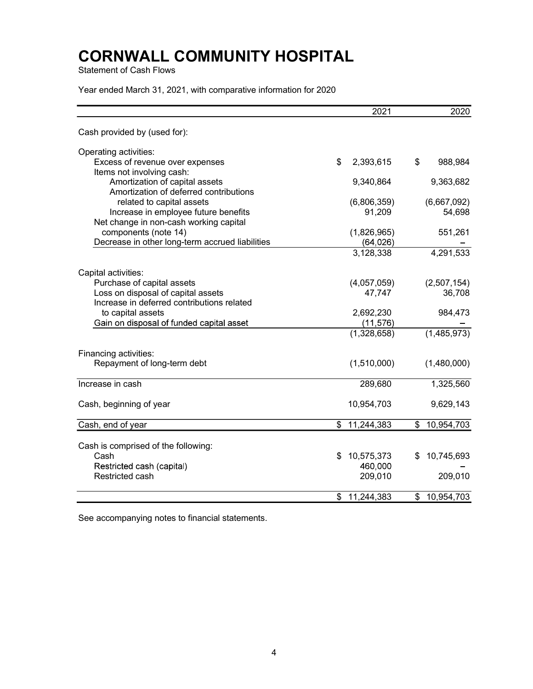Statement of Cash Flows

Year ended March 31, 2021, with comparative information for 2020

|                                                                         | 2021                   | 2020             |
|-------------------------------------------------------------------------|------------------------|------------------|
| Cash provided by (used for):                                            |                        |                  |
| Operating activities:                                                   |                        |                  |
| Excess of revenue over expenses                                         | \$<br>2,393,615        | \$<br>988,984    |
| Items not involving cash:                                               |                        |                  |
| Amortization of capital assets                                          | 9,340,864              | 9,363,682        |
| Amortization of deferred contributions                                  |                        |                  |
| related to capital assets                                               | (6,806,359)            | (6,667,092)      |
| Increase in employee future benefits                                    | 91,209                 | 54,698           |
| Net change in non-cash working capital                                  |                        |                  |
| components (note 14)<br>Decrease in other long-term accrued liabilities | (1,826,965)            | 551,261          |
|                                                                         | (64, 026)<br>3,128,338 | 4,291,533        |
|                                                                         |                        |                  |
| Capital activities:                                                     |                        |                  |
| Purchase of capital assets                                              | (4,057,059)            | (2,507,154)      |
| Loss on disposal of capital assets                                      | 47,747                 | 36,708           |
| Increase in deferred contributions related                              |                        |                  |
| to capital assets                                                       | 2,692,230              | 984,473          |
| Gain on disposal of funded capital asset                                | (11, 576)              |                  |
|                                                                         | (1,328,658)            | (1,485,973)      |
| Financing activities:                                                   |                        |                  |
| Repayment of long-term debt                                             | (1,510,000)            | (1,480,000)      |
|                                                                         |                        |                  |
| Increase in cash                                                        | 289,680                | 1,325,560        |
| Cash, beginning of year                                                 | 10,954,703             | 9,629,143        |
|                                                                         |                        |                  |
| Cash, end of year                                                       | \$11,244,383           | \$<br>10,954,703 |
|                                                                         |                        |                  |
| Cash is comprised of the following:<br>Cash                             | \$<br>10,575,373       | 10,745,693<br>\$ |
| Restricted cash (capital)                                               | 460,000                |                  |
| Restricted cash                                                         | 209,010                | 209,010          |
|                                                                         |                        |                  |
|                                                                         | \$<br>11,244,383       | 10,954,703<br>\$ |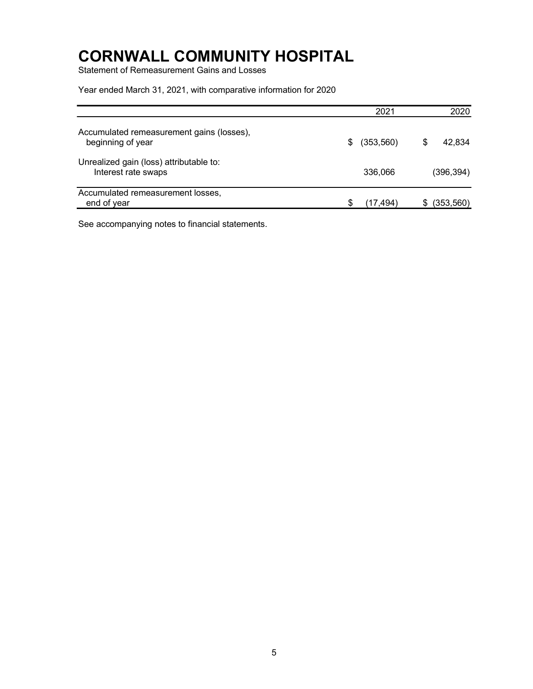Statement of Remeasurement Gains and Losses

Year ended March 31, 2021, with comparative information for 2020

|                                                                | 2021                  | 2020       |
|----------------------------------------------------------------|-----------------------|------------|
| Accumulated remeasurement gains (losses),<br>beginning of year | (353,560)<br>\$.<br>S | 42,834     |
| Unrealized gain (loss) attributable to:<br>Interest rate swaps | 336,066               | (396, 394) |
| Accumulated remeasurement losses,<br>end of year               | S<br>(17,494)         | (353, 560) |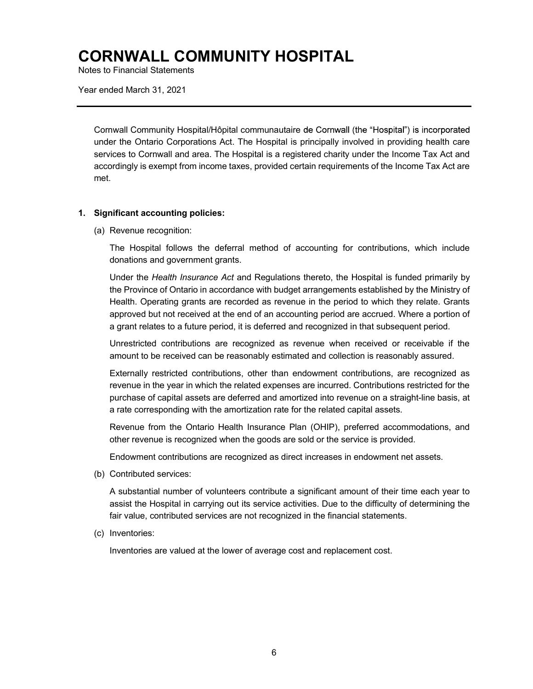Notes to Financial Statements

Year ended March 31, 2021

Cornwall Community Hospital/Hôpital communautaire under the Ontario Corporations Act. The Hospital is principally involved in providing health care services to Cornwall and area. The Hospital is a registered charity under the Income Tax Act and accordingly is exempt from income taxes, provided certain requirements of the Income Tax Act are met.

#### 1. Significant accounting policies:

(a) Revenue recognition:

The Hospital follows the deferral method of accounting for contributions, which include donations and government grants.

Under the Health Insurance Act and Regulations thereto, the Hospital is funded primarily by the Province of Ontario in accordance with budget arrangements established by the Ministry of Health. Operating grants are recorded as revenue in the period to which they relate. Grants approved but not received at the end of an accounting period are accrued. Where a portion of a grant relates to a future period, it is deferred and recognized in that subsequent period.

Unrestricted contributions are recognized as revenue when received or receivable if the amount to be received can be reasonably estimated and collection is reasonably assured.

Externally restricted contributions, other than endowment contributions, are recognized as revenue in the year in which the related expenses are incurred. Contributions restricted for the purchase of capital assets are deferred and amortized into revenue on a straight-line basis, at a rate corresponding with the amortization rate for the related capital assets.

Revenue from the Ontario Health Insurance Plan (OHIP), preferred accommodations, and other revenue is recognized when the goods are sold or the service is provided.

Endowment contributions are recognized as direct increases in endowment net assets.

(b) Contributed services:

A substantial number of volunteers contribute a significant amount of their time each year to assist the Hospital in carrying out its service activities. Due to the difficulty of determining the fair value, contributed services are not recognized in the financial statements.

(c) Inventories:

Inventories are valued at the lower of average cost and replacement cost.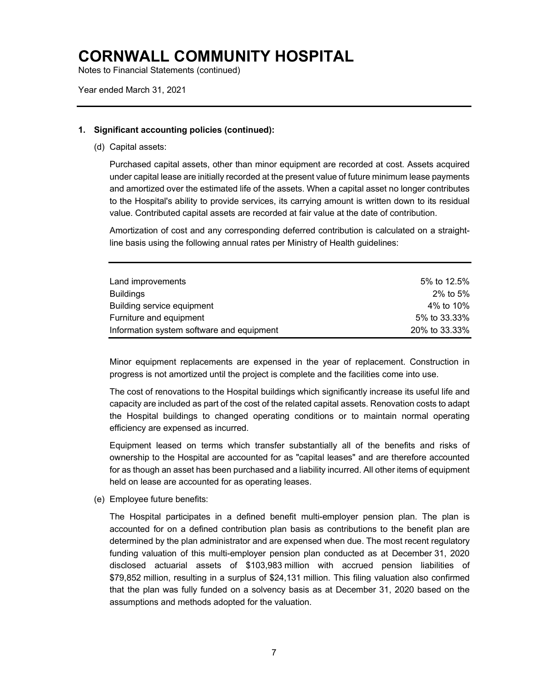Notes to Financial Statements (continued)

Year ended March 31, 2021

#### 1. Significant accounting policies (continued):

(d) Capital assets:

Purchased capital assets, other than minor equipment are recorded at cost. Assets acquired under capital lease are initially recorded at the present value of future minimum lease payments and amortized over the estimated life of the assets. When a capital asset no longer contributes to the Hospital's ability to provide services, its carrying amount is written down to its residual value. Contributed capital assets are recorded at fair value at the date of contribution.

Amortization of cost and any corresponding deferred contribution is calculated on a straightline basis using the following annual rates per Ministry of Health guidelines:

| Land improvements                         | 5% to 12.5%   |
|-------------------------------------------|---------------|
| Buildings                                 | $2\%$ to 5%   |
| Building service equipment                | 4% to 10%     |
| Furniture and equipment                   | 5% to 33.33%  |
| Information system software and equipment | 20% to 33.33% |

Minor equipment replacements are expensed in the year of replacement. Construction in progress is not amortized until the project is complete and the facilities come into use.

The cost of renovations to the Hospital buildings which significantly increase its useful life and capacity are included as part of the cost of the related capital assets. Renovation costs to adapt the Hospital buildings to changed operating conditions or to maintain normal operating efficiency are expensed as incurred.

Equipment leased on terms which transfer substantially all of the benefits and risks of ownership to the Hospital are accounted for as "capital leases" and are therefore accounted for as though an asset has been purchased and a liability incurred. All other items of equipment held on lease are accounted for as operating leases.

(e) Employee future benefits:

The Hospital participates in a defined benefit multi-employer pension plan. The plan is accounted for on a defined contribution plan basis as contributions to the benefit plan are determined by the plan administrator and are expensed when due. The most recent regulatory funding valuation of this multi-employer pension plan conducted as at December 31, 2020 disclosed actuarial assets of \$103,983 million with accrued pension liabilities of \$79,852 million, resulting in a surplus of \$24,131 million. This filing valuation also confirmed that the plan was fully funded on a solvency basis as at December 31, 2020 based on the assumptions and methods adopted for the valuation.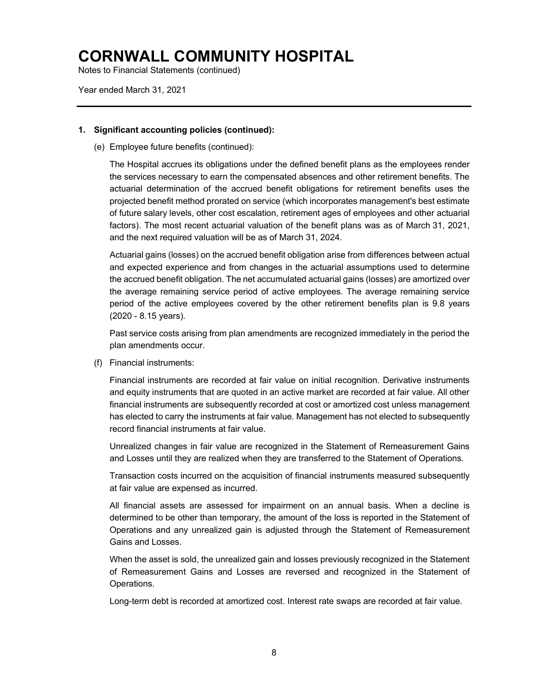Notes to Financial Statements (continued)

Year ended March 31, 2021

#### 1. Significant accounting policies (continued):

(e) Employee future benefits (continued):

The Hospital accrues its obligations under the defined benefit plans as the employees render the services necessary to earn the compensated absences and other retirement benefits. The actuarial determination of the accrued benefit obligations for retirement benefits uses the projected benefit method prorated on service (which incorporates management's best estimate of future salary levels, other cost escalation, retirement ages of employees and other actuarial factors). The most recent actuarial valuation of the benefit plans was as of March 31, 2021, and the next required valuation will be as of March 31, 2024.

Actuarial gains (losses) on the accrued benefit obligation arise from differences between actual and expected experience and from changes in the actuarial assumptions used to determine the accrued benefit obligation. The net accumulated actuarial gains (losses) are amortized over the average remaining service period of active employees. The average remaining service period of the active employees covered by the other retirement benefits plan is 9.8 years (2020 - 8.15 years).

Past service costs arising from plan amendments are recognized immediately in the period the plan amendments occur.

(f) Financial instruments:

Financial instruments are recorded at fair value on initial recognition. Derivative instruments and equity instruments that are quoted in an active market are recorded at fair value. All other financial instruments are subsequently recorded at cost or amortized cost unless management has elected to carry the instruments at fair value. Management has not elected to subsequently record financial instruments at fair value.

Unrealized changes in fair value are recognized in the Statement of Remeasurement Gains and Losses until they are realized when they are transferred to the Statement of Operations.

Transaction costs incurred on the acquisition of financial instruments measured subsequently at fair value are expensed as incurred.

All financial assets are assessed for impairment on an annual basis. When a decline is determined to be other than temporary, the amount of the loss is reported in the Statement of Operations and any unrealized gain is adjusted through the Statement of Remeasurement Gains and Losses.

When the asset is sold, the unrealized gain and losses previously recognized in the Statement of Remeasurement Gains and Losses are reversed and recognized in the Statement of Operations.

Long-term debt is recorded at amortized cost. Interest rate swaps are recorded at fair value.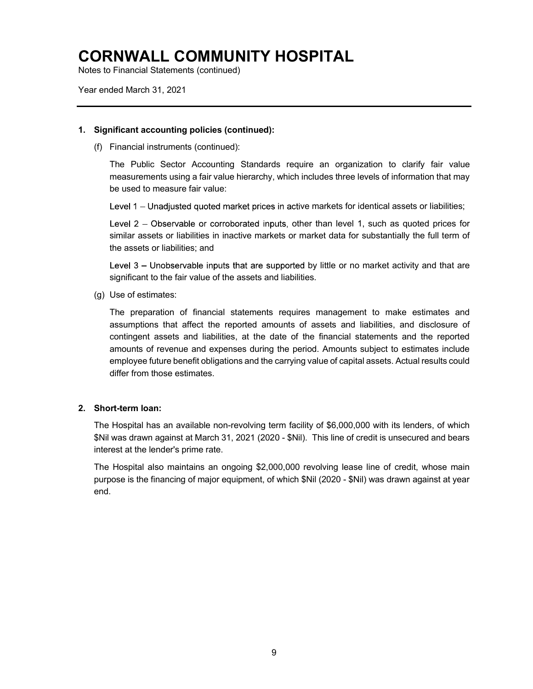Notes to Financial Statements (continued)

Year ended March 31, 2021

#### 1. Significant accounting policies (continued):

(f) Financial instruments (continued):

The Public Sector Accounting Standards require an organization to clarify fair value measurements using a fair value hierarchy, which includes three levels of information that may be used to measure fair value:

Level 1 – Unadjusted quoted market prices in active markets for identical assets or liabilities;

Level  $2$  – Observable or corroborated inputs, other than level 1, such as quoted prices for similar assets or liabilities in inactive markets or market data for substantially the full term of the assets or liabilities; and

Level 3 - Unobservable inputs that are supported by little or no market activity and that are significant to the fair value of the assets and liabilities.

(g) Use of estimates:

The preparation of financial statements requires management to make estimates and assumptions that affect the reported amounts of assets and liabilities, and disclosure of contingent assets and liabilities, at the date of the financial statements and the reported amounts of revenue and expenses during the period. Amounts subject to estimates include employee future benefit obligations and the carrying value of capital assets. Actual results could differ from those estimates.

### 2. Short-term loan:

The Hospital has an available non-revolving term facility of \$6,000,000 with its lenders, of which \$Nil was drawn against at March 31, 2021 (2020 - \$Nil). This line of credit is unsecured and bears interest at the lender's prime rate.

The Hospital also maintains an ongoing \$2,000,000 revolving lease line of credit, whose main purpose is the financing of major equipment, of which \$Nil (2020 - \$Nil) was drawn against at year end.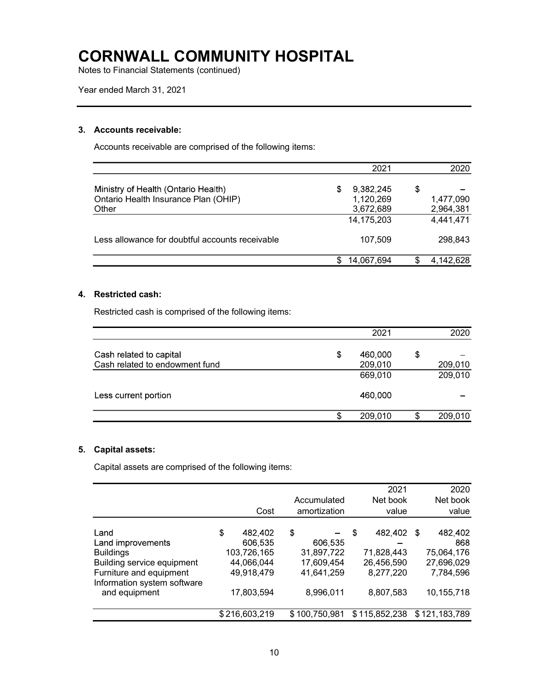Notes to Financial Statements (continued)

### 3. Accounts receivable:

Accounts receivable are comprised of the following items:

|                                                                                      | 2021                                     |   | 2020                   |
|--------------------------------------------------------------------------------------|------------------------------------------|---|------------------------|
| Ministry of Health (Ontario Health)<br>Ontario Health Insurance Plan (OHIP)<br>Other | 9,382,245<br>S<br>1,120,269<br>3,672,689 | S | 1,477,090<br>2,964,381 |
|                                                                                      | 14, 175, 203                             |   | 4,441,471              |
| Less allowance for doubtful accounts receivable                                      | 107.509                                  |   | 298.843                |
|                                                                                      | 14,067,694                               |   | 4,142,628              |

### 4. Restricted cash:

Restricted cash is comprised of the following items:

|                                | 2021          | 2020          |
|--------------------------------|---------------|---------------|
| Cash related to capital        | \$<br>460,000 | \$            |
| Cash related to endowment fund | 209,010       | 209,010       |
|                                | 669,010       | 209,010       |
| Less current portion           | 460,000       |               |
|                                | \$<br>209,010 | \$<br>209,010 |

### 5. Capital assets:

Capital assets are comprised of the following items:

|                                                                                                                                                        | Cost                                                                              | Accumulated<br>amortization                                          |   | 2021<br>Net book<br>value                                     |      | 2020<br>Net book<br>value                                             |
|--------------------------------------------------------------------------------------------------------------------------------------------------------|-----------------------------------------------------------------------------------|----------------------------------------------------------------------|---|---------------------------------------------------------------|------|-----------------------------------------------------------------------|
| Land<br>Land improvements<br><b>Buildings</b><br>Building service equipment<br>Furniture and equipment<br>Information system software<br>and equipment | \$<br>482,402<br>606,535<br>103,726,165<br>44,066,044<br>49,918,479<br>17,803,594 | \$<br>606,535<br>31,897,722<br>17,609,454<br>41,641,259<br>8,996,011 | S | 482,402<br>71,828,443<br>26,456,590<br>8,277,220<br>8,807,583 | - \$ | 482,402<br>868<br>75,064,176<br>27,696,029<br>7,784,596<br>10,155,718 |
|                                                                                                                                                        | \$216,603,219                                                                     | \$100,750,981                                                        |   | \$115,852,238                                                 |      | \$121,183,789                                                         |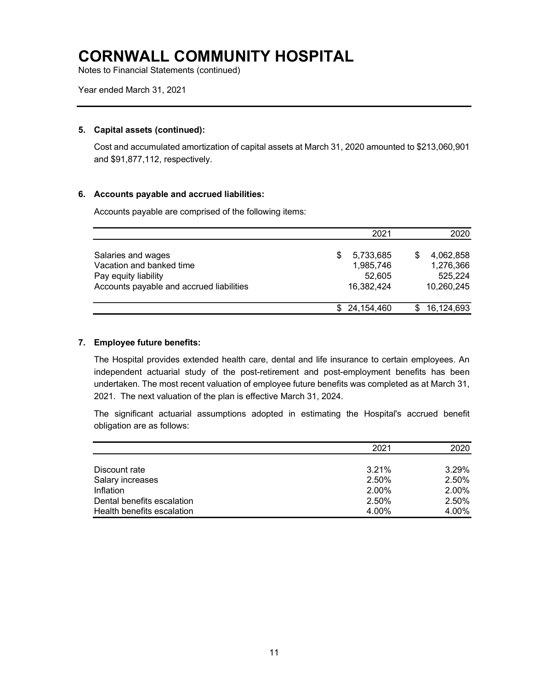Notes to Financial Statements (continued)

Year ended March 31, 2021

#### 5. Capital assets (continued):

Cost and accumulated amortization of capital assets at March 31, 2020 amounted to \$213,060,901 and \$91,877,112, respectively.

#### 6. Accounts payable and accrued liabilities:

Accounts payable are comprised of the following items:

|                                                                                                                    | 2021                                                | 2020                                            |
|--------------------------------------------------------------------------------------------------------------------|-----------------------------------------------------|-------------------------------------------------|
| Salaries and wages<br>Vacation and banked time<br>Pay equity liability<br>Accounts payable and accrued liabilities | 5,733,685<br>S<br>1,985,746<br>52.605<br>16,382,424 | 4.062.858<br>1,276,366<br>525,224<br>10,260,245 |
|                                                                                                                    | 24.154.460                                          | 16,124,693                                      |

#### 7. Employee future benefits:

The Hospital provides extended health care, dental and life insurance to certain employees. An independent actuarial study of the post-retirement and post-employment benefits has been undertaken. The most recent valuation of employee future benefits was completed as at March 31, 2021. The next valuation of the plan is effective March 31, 2024.

The significant actuarial assumptions adopted in estimating the Hospital's accrued benefit obligation are as follows:

|                            | 2021  | 2020  |
|----------------------------|-------|-------|
|                            |       |       |
| Discount rate              | 3.21% | 3.29% |
| Salary increases           | 2.50% | 2.50% |
| Inflation                  | 2.00% | 2.00% |
| Dental benefits escalation | 2.50% | 2.50% |
| Health benefits escalation | 4.00% | 4.00% |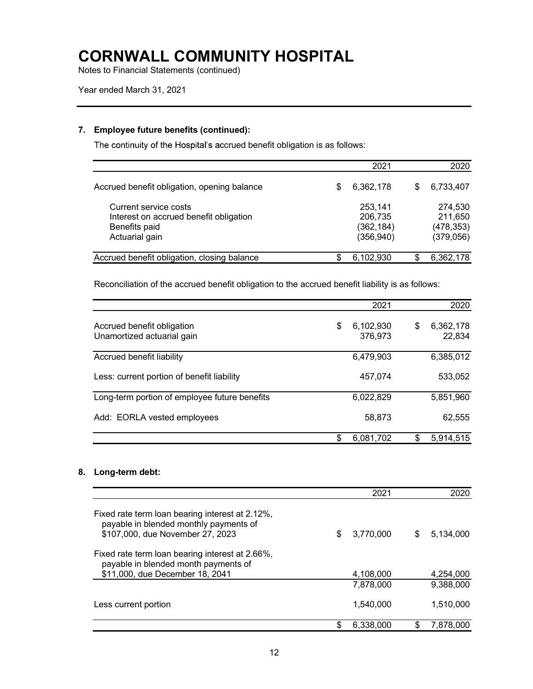Notes to Financial Statements (continued)

### 7. Employee future benefits (continued):

The continuity of the Hospital's accrued benefit obligation is as follows:

|                                                                                                    |     | 2021                                           | 2020                                          |
|----------------------------------------------------------------------------------------------------|-----|------------------------------------------------|-----------------------------------------------|
| Accrued benefit obligation, opening balance                                                        | \$  | 6,362,178                                      | \$<br>6,733,407                               |
| Current service costs<br>Interest on accrued benefit obligation<br>Benefits paid<br>Actuarial gain |     | 253,141<br>206,735<br>(362, 184)<br>(356, 940) | 274,530<br>211,650<br>(478, 353)<br>(379,056) |
| Accrued benefit obligation, closing balance                                                        | \$. | 6,102,930                                      | 6,362,178                                     |

Reconciliation of the accrued benefit obligation to the accrued benefit liability is as follows:

|                                                          |    | 2021                 | 2020                      |
|----------------------------------------------------------|----|----------------------|---------------------------|
| Accrued benefit obligation<br>Unamortized actuarial gain | \$ | 6,102,930<br>376.973 | \$<br>6,362,178<br>22,834 |
| Accrued benefit liability                                |    | 6,479,903            | 6,385,012                 |
| Less: current portion of benefit liability               |    | 457.074              | 533,052                   |
| Long-term portion of employee future benefits            |    | 6,022,829            | 5,851,960                 |
| Add: EORLA vested employees                              |    | 58,873               | 62,555                    |
|                                                          | S  | 6,081,702            | \$<br>5,914,515           |

### 8. Long-term debt:

|                                                                                                                               | 2021            |   | 2020      |
|-------------------------------------------------------------------------------------------------------------------------------|-----------------|---|-----------|
| Fixed rate term loan bearing interest at 2.12%,<br>payable in blended monthly payments of<br>\$107,000, due November 27, 2023 | \$<br>3,770,000 | S | 5.134.000 |
| Fixed rate term loan bearing interest at 2.66%,<br>payable in blended month payments of<br>\$11,000, due December 18, 2041    | 4,108,000       |   | 4,254,000 |
|                                                                                                                               | 7,878,000       |   | 9,388,000 |
| Less current portion                                                                                                          | 1,540,000       |   | 1,510,000 |
|                                                                                                                               | 6.338.000       |   | 7.878.000 |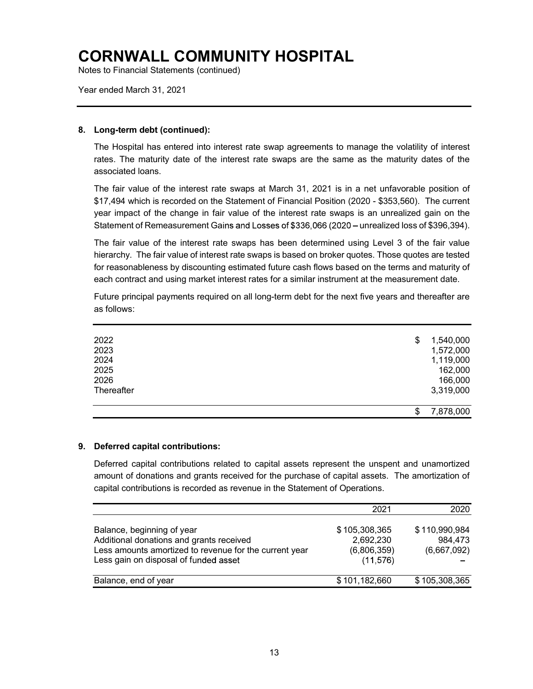Notes to Financial Statements (continued)

Year ended March 31, 2021

### 8. Long-term debt (continued):

The Hospital has entered into interest rate swap agreements to manage the volatility of interest rates. The maturity date of the interest rate swaps are the same as the maturity dates of the associated loans.

The fair value of the interest rate swaps at March 31, 2021 is in a net unfavorable position of \$17,494 which is recorded on the Statement of Financial Position (2020 - \$353,560). The current year impact of the change in fair value of the interest rate swaps is an unrealized gain on the Statement of Remeasurement Gains and Losses of \$336,066 (2020 – unrealized loss of \$396,394).

The fair value of the interest rate swaps has been determined using Level 3 of the fair value hierarchy. The fair value of interest rate swaps is based on broker quotes. Those quotes are tested for reasonableness by discounting estimated future cash flows based on the terms and maturity of each contract and using market interest rates for a similar instrument at the measurement date.

Future principal payments required on all long-term debt for the next five years and thereafter are as follows:

| 2022       | \$<br>1,540,000 |
|------------|-----------------|
| 2023       | 1,572,000       |
| 2024       | 1,119,000       |
| 2025       | 162,000         |
| 2026       | 166,000         |
| Thereafter | 3,319,000       |
|            | \$<br>7,878,000 |

#### 9. Deferred capital contributions:

Deferred capital contributions related to capital assets represent the unspent and unamortized amount of donations and grants received for the purchase of capital assets. The amortization of capital contributions is recorded as revenue in the Statement of Operations.

|                                                                                                                                                                           | 2021                                                   | 2020                                    |
|---------------------------------------------------------------------------------------------------------------------------------------------------------------------------|--------------------------------------------------------|-----------------------------------------|
| Balance, beginning of year<br>Additional donations and grants received<br>Less amounts amortized to revenue for the current year<br>Less gain on disposal of funded asset | \$105,308,365<br>2,692,230<br>(6,806,359)<br>(11, 576) | \$110,990,984<br>984,473<br>(6,667,092) |
| Balance, end of year                                                                                                                                                      | \$101,182,660                                          | \$105,308,365                           |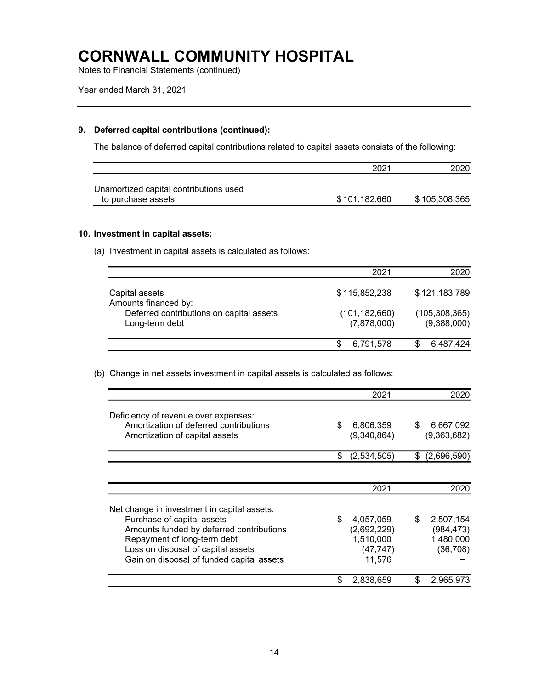Notes to Financial Statements (continued)

### 9. Deferred capital contributions (continued):

The balance of deferred capital contributions related to capital assets consists of the following:

|                                        | 2021          |               |
|----------------------------------------|---------------|---------------|
| Unamortized capital contributions used |               |               |
| to purchase assets                     | \$101,182,660 | \$105,308,365 |

#### 10. Investment in capital assets:

(a) Investment in capital assets is calculated as follows:

|                                                            | 2021                           | 2020                           |
|------------------------------------------------------------|--------------------------------|--------------------------------|
| Capital assets<br>Amounts financed by:                     | \$115,852,238                  | \$121,183,789                  |
| Deferred contributions on capital assets<br>Long-term debt | (101, 182, 660)<br>(7,878,000) | (105, 308, 365)<br>(9,388,000) |
|                                                            | 6,791,578                      | 6,487,424                      |

(b) Change in net assets investment in capital assets is calculated as follows:

|                                                                                                                                                                                                                                         | 2021                                                               | 2020                                                    |
|-----------------------------------------------------------------------------------------------------------------------------------------------------------------------------------------------------------------------------------------|--------------------------------------------------------------------|---------------------------------------------------------|
| Deficiency of revenue over expenses:<br>Amortization of deferred contributions<br>Amortization of capital assets                                                                                                                        | \$<br>6,806,359<br>(9,340,864)                                     | \$<br>6,667,092<br>(9,363,682)                          |
|                                                                                                                                                                                                                                         | \$<br>(2,534,505)                                                  | \$<br>(2,696,590)                                       |
|                                                                                                                                                                                                                                         |                                                                    |                                                         |
|                                                                                                                                                                                                                                         | 2021                                                               | 2020                                                    |
| Net change in investment in capital assets:<br>Purchase of capital assets<br>Amounts funded by deferred contributions<br>Repayment of long-term debt<br>Loss on disposal of capital assets<br>Gain on disposal of funded capital assets | \$<br>4,057,059<br>(2,692,229)<br>1,510,000<br>(47, 747)<br>11,576 | \$<br>2,507,154<br>(984, 473)<br>1,480,000<br>(36, 708) |
|                                                                                                                                                                                                                                         | 2,838,659                                                          | 2,965,973                                               |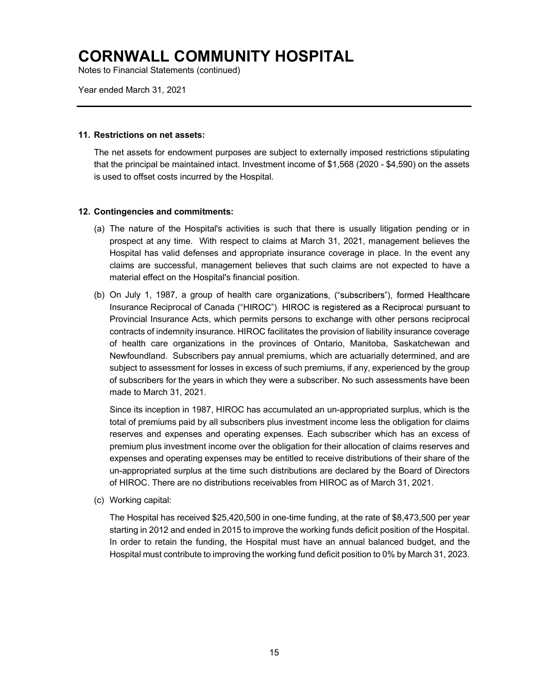Notes to Financial Statements (continued)

Year ended March 31, 2021

#### 11. Restrictions on net assets:

The net assets for endowment purposes are subject to externally imposed restrictions stipulating that the principal be maintained intact. Investment income of \$1,568 (2020 - \$4,590) on the assets is used to offset costs incurred by the Hospital.

### 12. Contingencies and commitments:

- (a) The nature of the Hospital's activities is such that there is usually litigation pending or in prospect at any time. With respect to claims at March 31, 2021, management believes the Hospital has valid defenses and appropriate insurance coverage in place. In the event any claims are successful, management believes that such claims are not expected to have a material effect on the Hospital's financial position.
- (b) On July 1, 1987, a group of health care organizations, ("subscribers"), formed Healthcare Insurance Reciprocal of Canada ("HIROC"). HIROC is registered as a Reciprocal pursuant to Provincial Insurance Acts, which permits persons to exchange with other persons reciprocal contracts of indemnity insurance. HIROC facilitates the provision of liability insurance coverage of health care organizations in the provinces of Ontario, Manitoba, Saskatchewan and Newfoundland. Subscribers pay annual premiums, which are actuarially determined, and are subject to assessment for losses in excess of such premiums, if any, experienced by the group of subscribers for the years in which they were a subscriber. No such assessments have been made to March 31, 2021.

Since its inception in 1987, HIROC has accumulated an un-appropriated surplus, which is the total of premiums paid by all subscribers plus investment income less the obligation for claims reserves and expenses and operating expenses. Each subscriber which has an excess of premium plus investment income over the obligation for their allocation of claims reserves and expenses and operating expenses may be entitled to receive distributions of their share of the un-appropriated surplus at the time such distributions are declared by the Board of Directors of HIROC. There are no distributions receivables from HIROC as of March 31, 2021.

(c) Working capital:

The Hospital has received \$25,420,500 in one-time funding, at the rate of \$8,473,500 per year starting in 2012 and ended in 2015 to improve the working funds deficit position of the Hospital. In order to retain the funding, the Hospital must have an annual balanced budget, and the Hospital must contribute to improving the working fund deficit position to 0% by March 31, 2023.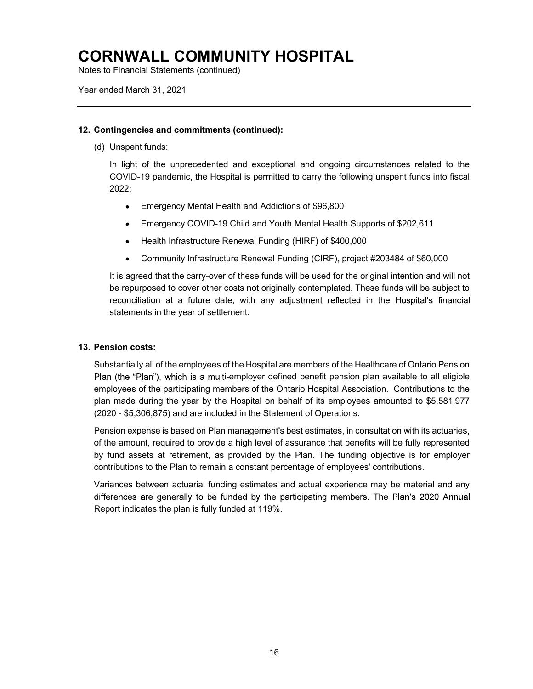Notes to Financial Statements (continued)

Year ended March 31, 2021

#### 12. Contingencies and commitments (continued):

(d) Unspent funds:

In light of the unprecedented and exceptional and ongoing circumstances related to the COVID-19 pandemic, the Hospital is permitted to carry the following unspent funds into fiscal 2022:

- Emergency Mental Health and Addictions of \$96,800
- Emergency COVID-19 Child and Youth Mental Health Supports of \$202,611
- Health Infrastructure Renewal Funding (HIRF) of \$400,000
- Community Infrastructure Renewal Funding (CIRF), project #203484 of \$60,000

It is agreed that the carry-over of these funds will be used for the original intention and will not be repurposed to cover other costs not originally contemplated. These funds will be subject to reconciliation at a future date, with any adjustment reflected in the Hospital's financial statements in the year of settlement.

### 13. Pension costs:

Substantially all of the employees of the Hospital are members of the Healthcare of Ontario Pension Plan (the "Plan"), which is a multi-employer defined benefit pension plan available to all eligible employees of the participating members of the Ontario Hospital Association. Contributions to the plan made during the year by the Hospital on behalf of its employees amounted to \$5,581,977 (2020 - \$5,306,875) and are included in the Statement of Operations.

Pension expense is based on Plan management's best estimates, in consultation with its actuaries, of the amount, required to provide a high level of assurance that benefits will be fully represented by fund assets at retirement, as provided by the Plan. The funding objective is for employer contributions to the Plan to remain a constant percentage of employees' contributions.

Variances between actuarial funding estimates and actual experience may be material and any differences are generally to be funded by the participating members. The Plan's 2020 Annual Report indicates the plan is fully funded at 119%.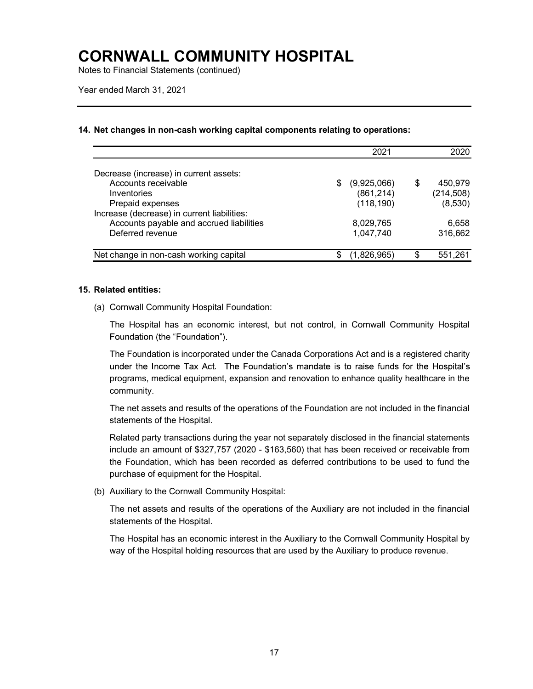Notes to Financial Statements (continued)

### 14. Net changes in non-cash working capital components relating to operations:

|                                                                                                             |     | 2021                                    |    | 2020                             |
|-------------------------------------------------------------------------------------------------------------|-----|-----------------------------------------|----|----------------------------------|
| Decrease (increase) in current assets:                                                                      |     |                                         |    |                                  |
| Accounts receivable<br>Inventories<br>Prepaid expenses                                                      | \$. | (9,925,066)<br>(861, 214)<br>(118, 190) | \$ | 450,979<br>(214, 508)<br>(8,530) |
| Increase (decrease) in current liabilities:<br>Accounts payable and accrued liabilities<br>Deferred revenue |     | 8,029,765<br>1,047,740                  |    | 6,658<br>316,662                 |
| Net change in non-cash working capital                                                                      | S   | (1,826,965)                             | S  | 551.261                          |

#### 15. Related entities:

(a) Cornwall Community Hospital Foundation:

The Hospital has an economic interest, but not control, in Cornwall Community Hospital Foundation (the "Foundation").

The Foundation is incorporated under the Canada Corporations Act and is a registered charity under the Income Tax Act. The Foundation's mandate is to raise funds for the Hospital's programs, medical equipment, expansion and renovation to enhance quality healthcare in the community.

The net assets and results of the operations of the Foundation are not included in the financial statements of the Hospital.

Related party transactions during the year not separately disclosed in the financial statements include an amount of \$327,757 (2020 - \$163,560) that has been received or receivable from the Foundation, which has been recorded as deferred contributions to be used to fund the purchase of equipment for the Hospital.

(b) Auxiliary to the Cornwall Community Hospital:

The net assets and results of the operations of the Auxiliary are not included in the financial statements of the Hospital.

The Hospital has an economic interest in the Auxiliary to the Cornwall Community Hospital by way of the Hospital holding resources that are used by the Auxiliary to produce revenue.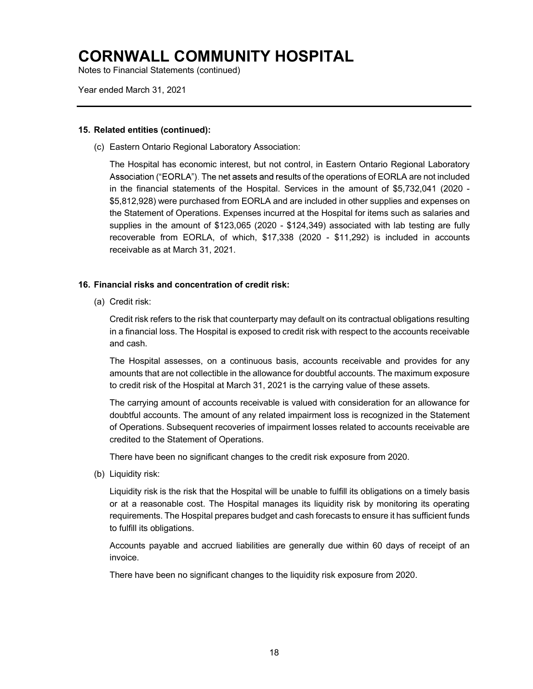Notes to Financial Statements (continued)

Year ended March 31, 2021

#### 15. Related entities (continued):

(c) Eastern Ontario Regional Laboratory Association:

The Hospital has economic interest, but not control, in Eastern Ontario Regional Laboratory Association ("EORLA"). The net assets and results of the operations of EORLA are not included in the financial statements of the Hospital. Services in the amount of \$5,732,041 (2020 - \$5,812,928) were purchased from EORLA and are included in other supplies and expenses on the Statement of Operations. Expenses incurred at the Hospital for items such as salaries and supplies in the amount of \$123,065 (2020 - \$124,349) associated with lab testing are fully recoverable from EORLA, of which, \$17,338 (2020 - \$11,292) is included in accounts receivable as at March 31, 2021.

### 16. Financial risks and concentration of credit risk:

(a) Credit risk:

Credit risk refers to the risk that counterparty may default on its contractual obligations resulting in a financial loss. The Hospital is exposed to credit risk with respect to the accounts receivable and cash.

The Hospital assesses, on a continuous basis, accounts receivable and provides for any amounts that are not collectible in the allowance for doubtful accounts. The maximum exposure to credit risk of the Hospital at March 31, 2021 is the carrying value of these assets.

The carrying amount of accounts receivable is valued with consideration for an allowance for doubtful accounts. The amount of any related impairment loss is recognized in the Statement of Operations. Subsequent recoveries of impairment losses related to accounts receivable are credited to the Statement of Operations.

There have been no significant changes to the credit risk exposure from 2020.

(b) Liquidity risk:

Liquidity risk is the risk that the Hospital will be unable to fulfill its obligations on a timely basis or at a reasonable cost. The Hospital manages its liquidity risk by monitoring its operating requirements. The Hospital prepares budget and cash forecasts to ensure it has sufficient funds to fulfill its obligations.

Accounts payable and accrued liabilities are generally due within 60 days of receipt of an invoice.

There have been no significant changes to the liquidity risk exposure from 2020.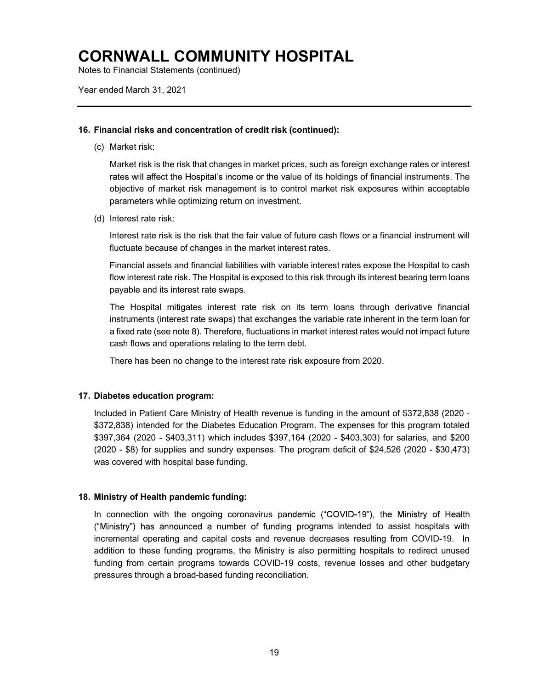Notes to Financial Statements (continued)

Year ended March 31, 2021

#### 16. Financial risks and concentration of credit risk (continued):

(c) Market risk:

Market risk is the risk that changes in market prices, such as foreign exchange rates or interest rates will affect the Hospital's income or the value of its holdings of financial instruments. The objective of market risk management is to control market risk exposures within acceptable parameters while optimizing return on investment.

(d) Interest rate risk:

Interest rate risk is the risk that the fair value of future cash flows or a financial instrument will fluctuate because of changes in the market interest rates.

Financial assets and financial liabilities with variable interest rates expose the Hospital to cash flow interest rate risk. The Hospital is exposed to this risk through its interest bearing term loans payable and its interest rate swaps.

The Hospital mitigates interest rate risk on its term loans through derivative financial instruments (interest rate swaps) that exchanges the variable rate inherent in the term loan for a fixed rate (see note 8). Therefore, fluctuations in market interest rates would not impact future cash flows and operations relating to the term debt.

There has been no change to the interest rate risk exposure from 2020.

### 17. Diabetes education program:

Included in Patient Care Ministry of Health revenue is funding in the amount of \$372,838 (2020 - \$372,838) intended for the Diabetes Education Program. The expenses for this program totaled \$397,364 (2020 - \$403,311) which includes \$397,164 (2020 - \$403,303) for salaries, and \$200 (2020 - \$8) for supplies and sundry expenses. The program deficit of \$24,526 (2020 - \$30,473) was covered with hospital base funding.

### 18. Ministry of Health pandemic funding:

In connection with the ongoing coronavirus pandemic ("COVID-19"), the Ministry of Health ("Ministry") has announced a number of funding programs intended to assist hospitals with incremental operating and capital costs and revenue decreases resulting from COVID-19. In addition to these funding programs, the Ministry is also permitting hospitals to redirect unused funding from certain programs towards COVID-19 costs, revenue losses and other budgetary pressures through a broad-based funding reconciliation.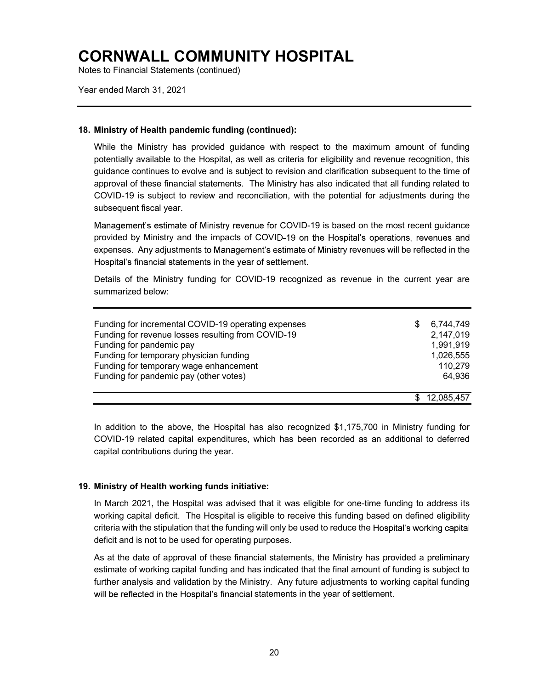Notes to Financial Statements (continued)

Year ended March 31, 2021

#### 18. Ministry of Health pandemic funding (continued):

While the Ministry has provided guidance with respect to the maximum amount of funding potentially available to the Hospital, as well as criteria for eligibility and revenue recognition, this guidance continues to evolve and is subject to revision and clarification subsequent to the time of approval of these financial statements. The Ministry has also indicated that all funding related to COVID-19 is subject to review and reconciliation, with the potential for adjustments during the subsequent fiscal year.

Management's estimate of Ministry revenue for COVID-19 is based on the most recent guidance provided by Ministry and the impacts of COVID-19 on the Hospital's operations, revenues and expenses. Any adjustments to Management's estimate of Ministry revenues will be reflected in the Hospital's financial statements in the year of settlement.

Details of the Ministry funding for COVID-19 recognized as revenue in the current year are summarized below:

| Funding for incremental COVID-19 operating expenses<br>Funding for revenue losses resulting from COVID-19<br>Funding for pandemic pay<br>Funding for temporary physician funding<br>Funding for temporary wage enhancement<br>Funding for pandemic pay (other votes) | S | 6,744,749<br>2,147,019<br>1,991,919<br>1,026,555<br>110,279<br>64,936 |
|----------------------------------------------------------------------------------------------------------------------------------------------------------------------------------------------------------------------------------------------------------------------|---|-----------------------------------------------------------------------|
|                                                                                                                                                                                                                                                                      |   | \$12,085,457                                                          |

In addition to the above, the Hospital has also recognized \$1,175,700 in Ministry funding for COVID-19 related capital expenditures, which has been recorded as an additional to deferred capital contributions during the year.

### 19. Ministry of Health working funds initiative:

In March 2021, the Hospital was advised that it was eligible for one-time funding to address its working capital deficit. The Hospital is eligible to receive this funding based on defined eligibility criteria with the stipulation that the funding will only be used to reduce the deficit and is not to be used for operating purposes.

As at the date of approval of these financial statements, the Ministry has provided a preliminary estimate of working capital funding and has indicated that the final amount of funding is subject to further analysis and validation by the Ministry. Any future adjustments to working capital funding will be reflected in the Hospital's financial statements in the year of settlement.